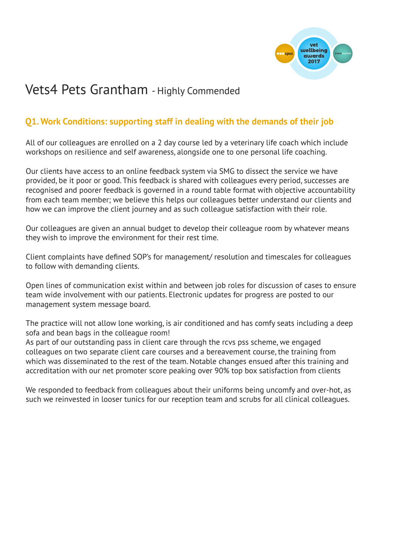

# Vets4 Pets Grantham - Highly Commended

## **Q1. Work Conditions: supporting staff in dealing with the demands of their job**

All of our colleagues are enrolled on a 2 day course led by a veterinary life coach which include workshops on resilience and self awareness, alongside one to one personal life coaching.

Our clients have access to an online feedback system via SMG to dissect the service we have provided, be it poor or good. This feedback is shared with colleagues every period, successes are recognised and poorer feedback is governed in a round table format with objective accountability from each team member; we believe this helps our colleagues better understand our clients and how we can improve the client journey and as such colleague satisfaction with their role.

Our colleagues are given an annual budget to develop their colleague room by whatever means they wish to improve the environment for their rest time.

Client complaints have defined SOP's for management/ resolution and timescales for colleagues to follow with demanding clients.

Open lines of communication exist within and between job roles for discussion of cases to ensure team wide involvement with our patients. Electronic updates for progress are posted to our management system message board.

The practice will not allow lone working, is air conditioned and has comfy seats including a deep sofa and bean bags in the colleague room!

As part of our outstanding pass in client care through the rcvs pss scheme, we engaged colleagues on two separate client care courses and a bereavement course, the training from which was disseminated to the rest of the team. Notable changes ensued after this training and accreditation with our net promoter score peaking over 90% top box satisfaction from clients

We responded to feedback from colleagues about their uniforms being uncomfy and over-hot, as such we reinvested in looser tunics for our reception team and scrubs for all clinical colleagues.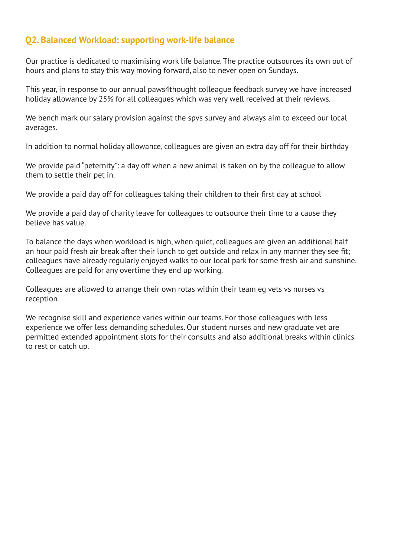#### **Q2. Balanced Workload: supporting work-life balance**

Our practice is dedicated to maximising work life balance. The practice outsources its own out of hours and plans to stay this way moving forward, also to never open on Sundays.

This year, in response to our annual paws4thought colleague feedback survey we have increased holiday allowance by 25% for all colleagues which was very well received at their reviews.

We bench mark our salary provision against the spvs survey and always aim to exceed our local averages.

In addition to normal holiday allowance, colleagues are given an extra day off for their birthday

We provide paid "peternity": a day off when a new animal is taken on by the colleague to allow them to settle their pet in.

We provide a paid day off for colleagues taking their children to their first day at school

We provide a paid day of charity leave for colleagues to outsource their time to a cause they believe has value.

To balance the days when workload is high, when quiet, colleagues are given an additional half an hour paid fresh air break after their lunch to get outside and relax in any manner they see fit; colleagues have already regularly enjoyed walks to our local park for some fresh air and sunshine. Colleagues are paid for any overtime they end up working.

Colleagues are allowed to arrange their own rotas within their team eg vets vs nurses vs reception

We recognise skill and experience varies within our teams. For those colleagues with less experience we offer less demanding schedules. Our student nurses and new graduate vet are permitted extended appointment slots for their consults and also additional breaks within clinics to rest or catch up.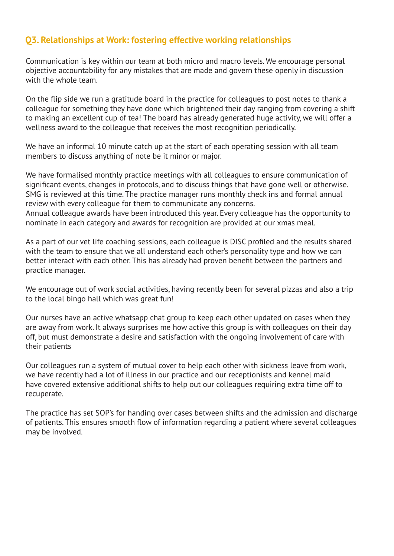#### **Q3. Relationships at Work: fostering effective working relationships**

Communication is key within our team at both micro and macro levels. We encourage personal objective accountability for any mistakes that are made and govern these openly in discussion with the whole team.

On the flip side we run a gratitude board in the practice for colleagues to post notes to thank a colleague for something they have done which brightened their day ranging from covering a shift to making an excellent cup of tea! The board has already generated huge activity, we will offer a wellness award to the colleague that receives the most recognition periodically.

We have an informal 10 minute catch up at the start of each operating session with all team members to discuss anything of note be it minor or major.

We have formalised monthly practice meetings with all colleagues to ensure communication of significant events, changes in protocols, and to discuss things that have gone well or otherwise. SMG is reviewed at this time. The practice manager runs monthly check ins and formal annual review with every colleague for them to communicate any concerns.

Annual colleague awards have been introduced this year. Every colleague has the opportunity to nominate in each category and awards for recognition are provided at our xmas meal.

As a part of our vet life coaching sessions, each colleague is DISC profiled and the results shared with the team to ensure that we all understand each other's personality type and how we can better interact with each other. This has already had proven benefit between the partners and practice manager.

We encourage out of work social activities, having recently been for several pizzas and also a trip to the local bingo hall which was great fun!

Our nurses have an active whatsapp chat group to keep each other updated on cases when they are away from work. It always surprises me how active this group is with colleagues on their day off, but must demonstrate a desire and satisfaction with the ongoing involvement of care with their patients

Our colleagues run a system of mutual cover to help each other with sickness leave from work, we have recently had a lot of illness in our practice and our receptionists and kennel maid have covered extensive additional shifts to help out our colleagues requiring extra time off to recuperate.

The practice has set SOP's for handing over cases between shifts and the admission and discharge of patients. This ensures smooth flow of information regarding a patient where several colleagues may be involved.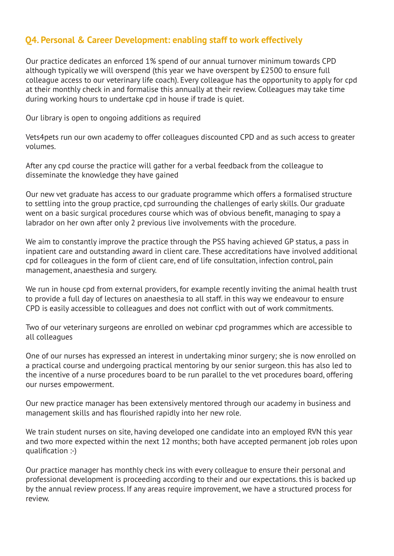### **Q4. Personal & Career Development: enabling staff to work effectively**

Our practice dedicates an enforced 1% spend of our annual turnover minimum towards CPD although typically we will overspend (this year we have overspent by £2500 to ensure full colleague access to our veterinary life coach). Every colleague has the opportunity to apply for cpd at their monthly check in and formalise this annually at their review. Colleagues may take time during working hours to undertake cpd in house if trade is quiet.

Our library is open to ongoing additions as required

Vets4pets run our own academy to offer colleagues discounted CPD and as such access to greater volumes.

After any cpd course the practice will gather for a verbal feedback from the colleague to disseminate the knowledge they have gained

Our new vet graduate has access to our graduate programme which offers a formalised structure to settling into the group practice, cpd surrounding the challenges of early skills. Our graduate went on a basic surgical procedures course which was of obvious benefit, managing to spay a labrador on her own after only 2 previous live involvements with the procedure.

We aim to constantly improve the practice through the PSS having achieved GP status, a pass in inpatient care and outstanding award in client care. These accreditations have involved additional cpd for colleagues in the form of client care, end of life consultation, infection control, pain management, anaesthesia and surgery.

We run in house cpd from external providers, for example recently inviting the animal health trust to provide a full day of lectures on anaesthesia to all staff. in this way we endeavour to ensure CPD is easily accessible to colleagues and does not conflict with out of work commitments.

Two of our veterinary surgeons are enrolled on webinar cpd programmes which are accessible to all colleagues

One of our nurses has expressed an interest in undertaking minor surgery; she is now enrolled on a practical course and undergoing practical mentoring by our senior surgeon. this has also led to the incentive of a nurse procedures board to be run parallel to the vet procedures board, offering our nurses empowerment.

Our new practice manager has been extensively mentored through our academy in business and management skills and has flourished rapidly into her new role.

We train student nurses on site, having developed one candidate into an employed RVN this year and two more expected within the next 12 months; both have accepted permanent job roles upon qualification :-)

Our practice manager has monthly check ins with every colleague to ensure their personal and professional development is proceeding according to their and our expectations. this is backed up by the annual review process. If any areas require improvement, we have a structured process for review.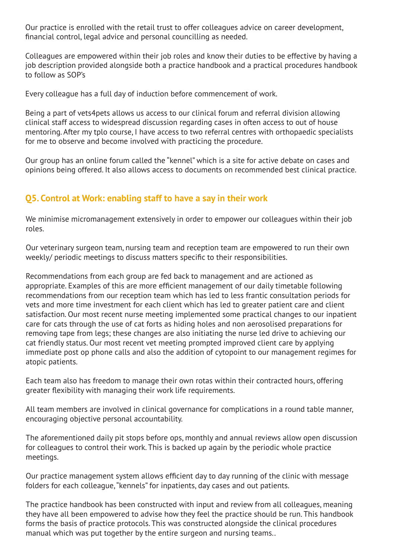Our practice is enrolled with the retail trust to offer colleagues advice on career development, financial control, legal advice and personal councilling as needed.

Colleagues are empowered within their job roles and know their duties to be effective by having a job description provided alongside both a practice handbook and a practical procedures handbook to follow as SOP's

Every colleague has a full day of induction before commencement of work.

Being a part of vets4pets allows us access to our clinical forum and referral division allowing clinical staff access to widespread discussion regarding cases in often access to out of house mentoring. After my tplo course, I have access to two referral centres with orthopaedic specialists for me to observe and become involved with practicing the procedure.

Our group has an online forum called the "kennel" which is a site for active debate on cases and opinions being offered. It also allows access to documents on recommended best clinical practice.

#### **Q5. Control at Work: enabling staff to have a say in their work**

We minimise micromanagement extensively in order to empower our colleagues within their job roles.

Our veterinary surgeon team, nursing team and reception team are empowered to run their own weekly/ periodic meetings to discuss matters specific to their responsibilities.

Recommendations from each group are fed back to management and are actioned as appropriate. Examples of this are more efficient management of our daily timetable following recommendations from our reception team which has led to less frantic consultation periods for vets and more time investment for each client which has led to greater patient care and client satisfaction. Our most recent nurse meeting implemented some practical changes to our inpatient care for cats through the use of cat forts as hiding holes and non aerosolised preparations for removing tape from legs; these changes are also initiating the nurse led drive to achieving our cat friendly status. Our most recent vet meeting prompted improved client care by applying immediate post op phone calls and also the addition of cytopoint to our management regimes for atopic patients.

Each team also has freedom to manage their own rotas within their contracted hours, offering greater flexibility with managing their work life requirements.

All team members are involved in clinical governance for complications in a round table manner, encouraging objective personal accountability.

The aforementioned daily pit stops before ops, monthly and annual reviews allow open discussion for colleagues to control their work. This is backed up again by the periodic whole practice meetings.

Our practice management system allows efficient day to day running of the clinic with message folders for each colleague, "kennels" for inpatients, day cases and out patients.

The practice handbook has been constructed with input and review from all colleagues, meaning they have all been empowered to advise how they feel the practice should be run. This handbook forms the basis of practice protocols. This was constructed alongside the clinical procedures manual which was put together by the entire surgeon and nursing teams..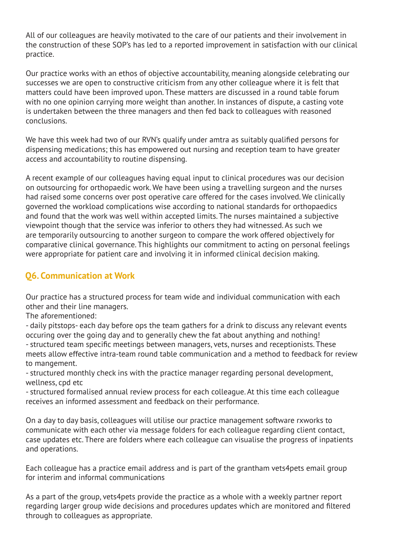All of our colleagues are heavily motivated to the care of our patients and their involvement in the construction of these SOP's has led to a reported improvement in satisfaction with our clinical practice.

Our practice works with an ethos of objective accountability, meaning alongside celebrating our successes we are open to constructive criticism from any other colleague where it is felt that matters could have been improved upon. These matters are discussed in a round table forum with no one opinion carrying more weight than another. In instances of dispute, a casting vote is undertaken between the three managers and then fed back to colleagues with reasoned conclusions.

We have this week had two of our RVN's qualify under amtra as suitably qualified persons for dispensing medications; this has empowered out nursing and reception team to have greater access and accountability to routine dispensing.

A recent example of our colleagues having equal input to clinical procedures was our decision on outsourcing for orthopaedic work. We have been using a travelling surgeon and the nurses had raised some concerns over post operative care offered for the cases involved. We clinically governed the workload complications wise according to national standards for orthopaedics and found that the work was well within accepted limits. The nurses maintained a subjective viewpoint though that the service was inferior to others they had witnessed. As such we are temporarily outsourcing to another surgeon to compare the work offered objectively for comparative clinical governance. This highlights our commitment to acting on personal feelings were appropriate for patient care and involving it in informed clinical decision making.

## **Q6. Communication at Work**

Our practice has a structured process for team wide and individual communication with each other and their line managers.

The aforementioned:

- daily pitstops- each day before ops the team gathers for a drink to discuss any relevant events occuring over the going day and to generally chew the fat about anything and nothing! - structured team specific meetings between managers, vets, nurses and receptionists. These meets allow effective intra-team round table communication and a method to feedback for review to mangement.

- structured monthly check ins with the practice manager regarding personal development, wellness, cpd etc

- structured formalised annual review process for each colleague. At this time each colleague receives an informed assessment and feedback on their performance.

On a day to day basis, colleagues will utilise our practice management software rxworks to communicate with each other via message folders for each colleague regarding client contact, case updates etc. There are folders where each colleague can visualise the progress of inpatients and operations.

Each colleague has a practice email address and is part of the grantham vets4pets email group for interim and informal communications

As a part of the group, vets4pets provide the practice as a whole with a weekly partner report regarding larger group wide decisions and procedures updates which are monitored and filtered through to colleagues as appropriate.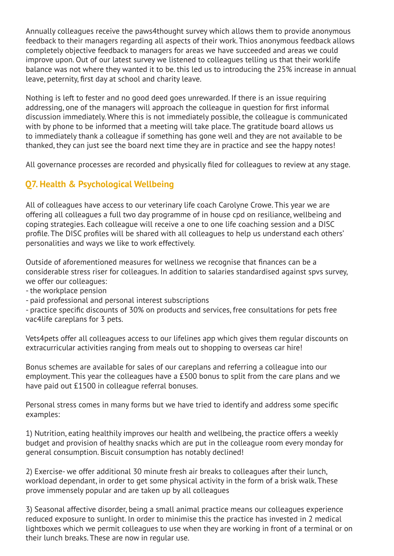Annually colleagues receive the paws4thought survey which allows them to provide anonymous feedback to their managers regarding all aspects of their work. Thios anonymous feedback allows completely objective feedback to managers for areas we have succeeded and areas we could improve upon. Out of our latest survey we listened to colleagues telling us that their worklife balance was not where they wanted it to be. this led us to introducing the 25% increase in annual leave, peternity, first day at school and charity leave.

Nothing is left to fester and no good deed goes unrewarded. If there is an issue requiring addressing, one of the managers will approach the colleague in question for first informal discussion immediately. Where this is not immediately possible, the colleague is communicated with by phone to be informed that a meeting will take place. The gratitude board allows us to immediately thank a colleague if something has gone well and they are not available to be thanked, they can just see the board next time they are in practice and see the happy notes!

All governance processes are recorded and physically filed for colleagues to review at any stage.

## **Q7. Health & Psychological Wellbeing**

All of colleagues have access to our veterinary life coach Carolyne Crowe. This year we are offering all colleagues a full two day programme of in house cpd on resiliance, wellbeing and coping strategies. Each colleague will receive a one to one life coaching session and a DISC profile. The DISC profiles will be shared with all colleagues to help us understand each others' personalities and ways we like to work effectively.

Outside of aforementioned measures for wellness we recognise that finances can be a considerable stress riser for colleagues. In addition to salaries standardised against spvs survey, we offer our colleagues:

- the workplace pension

- paid professional and personal interest subscriptions

- practice specific discounts of 30% on products and services, free consultations for pets free vac4life careplans for 3 pets.

Vets4pets offer all colleagues access to our lifelines app which gives them regular discounts on extracurricular activities ranging from meals out to shopping to overseas car hire!

Bonus schemes are available for sales of our careplans and referring a colleague into our employment. This year the colleagues have a £500 bonus to split from the care plans and we have paid out £1500 in colleague referral bonuses.

Personal stress comes in many forms but we have tried to identify and address some specific examples:

1) Nutrition, eating healthily improves our health and wellbeing, the practice offers a weekly budget and provision of healthy snacks which are put in the colleague room every monday for general consumption. Biscuit consumption has notably declined!

2) Exercise- we offer additional 30 minute fresh air breaks to colleagues after their lunch, workload dependant, in order to get some physical activity in the form of a brisk walk. These prove immensely popular and are taken up by all colleagues

3) Seasonal affective disorder, being a small animal practice means our colleagues experience reduced exposure to sunlight. In order to minimise this the practice has invested in 2 medical lightboxes which we permit colleagues to use when they are working in front of a terminal or on their lunch breaks. These are now in regular use.